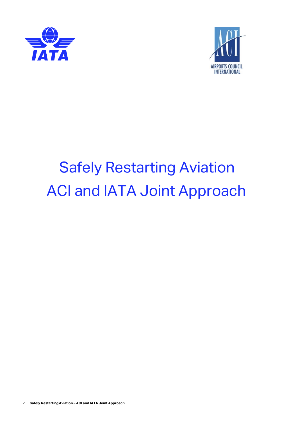



# Safely Restarting Aviation ACI and IATA Joint Approach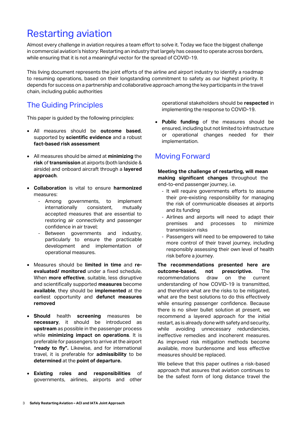# Restarting aviation

Almost every challenge in aviation requires a team effort to solve it. Today we face the biggest challenge in commercial aviation's history: Restarting an industry that largely has ceased to operate across borders, while ensuring that it is not a meaningful vector for the spread of COVID-19.

This living document represents the joint efforts of the airline and airport industry to identify a roadmap to resuming operations, based on their longstanding commitment to safety as our highest priority. It depends for success on a partnership and collaborative approach among the key participants in the travel chain, including public authorities

# The Guiding Principles

This paper is guided by the following principles:

- All measures should be **outcome based**, supported by **scientific evidence** and a robust **fact-based risk assessment**
- All measures should be aimed at **minimizing** the **risk** of **transmission** at airports (both landside & airside) and onboard aircraft through a **layered approach**.
- **Collaboration** is vital to ensure **harmonized** measures:
	- Among governments, to implement internationally consistent, mutually accepted measures that are essential to restoring air connectivity and passenger confidence in air travel;
	- Between governments and industry, particularly to ensure the practicable development and implementation of operational measures.
- Measures should be **limited in time** and **reevaluated/ monitored** under a fixed schedule. When **more effective**, suitable, less disruptive and scientifically supported **measures** become **available**, they should be **implemented** at the earliest opportunity and **defunct measures removed**
- **Should** health **screening** measures be **necessary**, it should be introduced as **upstream** as possible in the passenger process while **minimizing impact on operations**. It is preferable for passengers to arrive at the airport **"ready to fly".** Likewise, and for international travel, it is preferable for **admissibility** to be **determined** at the **point of departure.**
- **Existing roles and responsibilities** of governments, airlines, airports and other

operational stakeholders should be **respected** in implementing the response to COVID-19.

• **Public funding** of the measures should be ensured, including but not limited to infrastructure or operational changes needed for their implementation.

# Moving Forward

**Meeting the challenge of restarting, will mean making significant changes** throughout the end-to-end passenger journey, i.e.

- It will require governments efforts to assume their pre-existing responsibility for managing the risk of communicable diseases at airports and its funding
- Airlines and airports will need to adapt their premises and processes to minimize transmission risks
- Passengers will need to be empowered to take more control of their travel journey, including responsibly assessing their own level of health risk before a journey.

**The recommendations presented here are outcome-based, not prescriptive.** The recommendations draw on the current understanding of how COVID-19 is transmitted, and therefore what are the risks to be mitigated, what are the best solutions to do this effectively while ensuring passenger confidence. Because there is no silver bullet solution at present, we recommend a layered approach for the initial restart, as is already done with safety and security, while avoiding unnecessary redundancies, ineffective remedies and incoherent measures. As improved risk mitigation methods become available, more burdensome and less effective measures should be replaced.

We believe that this paper outlines a risk-based approach that assures that aviation continues to be the safest form of long distance travel the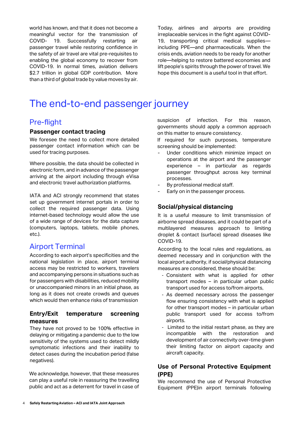world has known, and that it does not become a meaningful vector for the transmission of COVID- 19. Successfully restarting air passenger travel while restoring confidence in the safety of air travel are vital pre-requisites to enabling the global economy to recover from COVID-19. In normal times, aviation delivers \$2.7 trillion in global GDP contribution. More than a third of global trade by value moves by air.

Today, airlines and airports are providing irreplaceable services in the fight against COVID-19, transporting critical medical supplies including PPE—and pharmaceuticals. When the crisis ends, aviation needs to be ready for another role—helping to restore battered economies and lift people's spirits through the power of travel. We hope this document is a useful tool in that effort.

# The end-to-end passenger journey

## Pre-flight

#### **Passenger contact tracing**

We foresee the need to collect more detailed passenger contact information which can be used for tracing purposes.

Where possible, the data should be collected in electronic form, and in advance of the passenger arriving at the airport including through eVisa and electronic travel authorization platforms.

IATA and ACI strongly recommend that states set up government internet portals in order to collect the required passenger data. Using internet-based technology would allow the use of a wide range of devices for the data capture (computers, laptops, tablets, mobile phones, etc.).

## Airport Terminal

According to each airport's specificities and the national legislation in place, airport terminal access may be restricted to workers, travelers and accompanying persons in situations such as for passengers with disabilities, reduced mobility or unaccompanied minors in an initial phase, as long as it does not create crowds and queues which would then enhance risks of transmission

#### **Entry/Exit temperature screening measures**

They have not proved to be 100% effective in delaying or mitigating a pandemic due to the low sensitivity of the systems used to detect mildly symptomatic infections and their inability to detect cases during the incubation period (false negatives).

We acknowledge, however, that these measures can play a useful role in reassuring the travelling public and act as a deterrent for travel in case of suspicion of infection. For this reason, governments should apply a common approach on this matter to ensure consistency.

If required for such purposes, temperature screening should be implemented:

- Under conditions which minimize impact on operations at the airport and the passenger experience – in particular as regards passenger throughput across key terminal processes.
- By professional medical staff.
- Early on in the passenger process.

#### **Social/physical distancing**

It is a useful measure to limit transmission of airborne spread diseases, and it could be part of a multilayered measures approach to limiting droplet & contact (surface) spread diseases like COVID-19.

According to the local rules and regulations, as deemed necessary and in conjunction with the local airport authority, if social/physical distancing measures are considered, these should be:

- Consistent with what is applied for other transport modes – in particular urban public transport used for access to/from airports,
- As deemed necessary across the passenger flow ensuring consistency with what is applied for other transport modes – in particular urban public transport used for access to/from airports.
- Limited to the initial restart phase, as they are incompatible with the restoration and development of air connectivity over-time given their limiting factor on airport capacity and aircraft capacity.

#### **Use of Personal Protective Equipment (PPE)**

We recommend the use of Personal Protective Equipment (PPE)in airport terminals following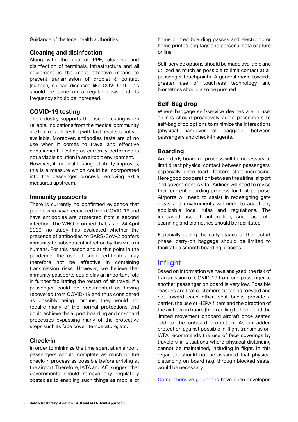Guidance of the local health authorities.

#### **Cleaning and disinfection**

Along with the use of PPE, cleaning and disinfection of terminals, infrastructure and all equipment is the most effective means to prevent transmission of droplet & contact (surface) spread diseases like COVID-19. This should be done on a regular basis and its frequency should be increased.

#### **COVID-19 testing**

The industry supports the use of testing when reliable. Indications from the medical community are that reliable testing with fast results is not yet available. Moreover, antibodies tests are of no use when it comes to travel and effective containment. Testing as currently performed is not a viable solution in an airport environment.

However, if medical testing reliability improves, this is a measure which could be incorporated into the passenger process removing extra measures upstream.

#### **Immunity passports**

There is currently no confirmed evidence that people who have recovered from COVID-19 and have antibodies are protected from a second infection. The WHO informed that, as of 24 April 2020, no study has evaluated whether the presence of antibodies to SARS-CoV-2 confers immunity to subsequent infection by this virus in humans. For this reason and at this point in the pandemic, the use of such certificates may therefore not be effective in containing transmission risks. However, we believe that immunity passports could play an important role in further facilitating the restart of air travel. If a passenger could be documented as having recovered from COVID-19 and thus considered as possibly being immune, they would not require many of the normal protections and could achieve the airport boarding and on-board processes bypassing many of the protective steps such as face cover, temperature, etc.

#### **Check-in**

In order to minimize the time spent at an airport, passengers should complete as much of the check-in process as possible before arriving at the airport. Therefore, IATA and ACI suggest that governments should remove any regulatory obstacles to enabling such things as mobile or

home printed boarding passes and electronic or home printed bag tags and personal data capture online.

Self-service options should be made available and utilized as much as possible to limit contact at all passenger touchpoints. A general move towards greater use of touchless technology and biometrics should also be pursued.

#### **Self-Bag drop**

Where baggage self-service devices are in use, airlines should proactively guide passengers to self-bag drop options to minimize the interactions (physical handover of baggage) between passengers and check-in agents.

#### **Boarding**

An orderly boarding process will be necessary to limit direct physical contact between passengers, especially once load- factors start increasing. Here good cooperation between the airline, airport and government is vital. Airlines will need to revise their current boarding process for that purpose. Airports will need to assist in redesigning gate areas and governments will need to adapt any applicable local rules and regulations. The increased use of automation, such as selfscanning and biometrics should be facilitated.

Especially during the early stages of the restart phase, carry-on baggage should be limited to facilitate a smooth boarding process.

### Inflight

Based on information we have analyzed, the risk of transmission of COVID-19 from one passenger to another passenger on board is very low. Possible reasons are that customers sit facing forward and not toward each other, seat backs provide a barrier, the use of HEPA filters and the direction of the air flow on board (from ceiling to floor), and the limited movement onboard aircraft once seated add to the onboard protection. As an added protection against possible in-flight transmission, IATA recommends the use of face coverings by travelers in situations where physical distancing cannot be maintained, including in flight. In this regard, it should not be assumed that physical distancing on board (e.g. through blocked seats) would be necessary.

[Comprehensive guidelines](https://www.iata.org/contentassets/df216feeb8bb4d52a3e16befe9671033/iata-guidance-cabin-operations-during-post-pandemic.pdf) have been developed